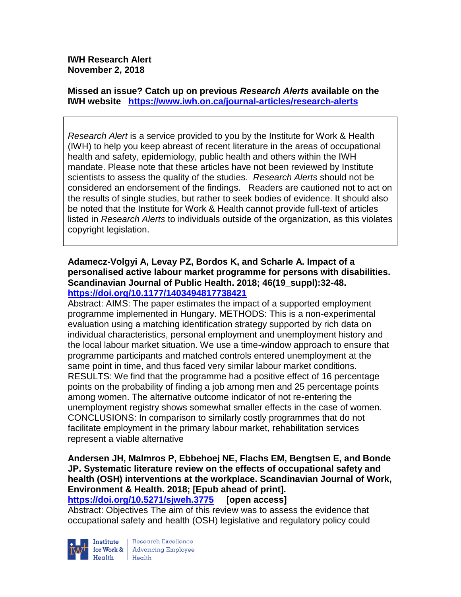**IWH Research Alert November 2, 2018**

**Missed an issue? Catch up on previous** *Research Alerts* **available on the [IWH website](http://www.iwh.on.ca/research-alerts) <https://www.iwh.on.ca/journal-articles/research-alerts>**

*Research Alert* is a service provided to you by the Institute for Work & Health (IWH) to help you keep abreast of recent literature in the areas of occupational health and safety, epidemiology, public health and others within the IWH mandate. Please note that these articles have not been reviewed by Institute scientists to assess the quality of the studies. *Research Alerts* should not be considered an endorsement of the findings. Readers are cautioned not to act on the results of single studies, but rather to seek bodies of evidence. It should also be noted that the Institute for Work & Health cannot provide full-text of articles listed in *Research Alerts* to individuals outside of the organization, as this violates copyright legislation.

## **Adamecz-Volgyi A, Levay PZ, Bordos K, and Scharle A. Impact of a personalised active labour market programme for persons with disabilities. Scandinavian Journal of Public Health. 2018; 46(19\_suppl):32-48. <https://doi.org/10.1177/1403494817738421>**

Abstract: AIMS: The paper estimates the impact of a supported employment programme implemented in Hungary. METHODS: This is a non-experimental evaluation using a matching identification strategy supported by rich data on individual characteristics, personal employment and unemployment history and the local labour market situation. We use a time-window approach to ensure that programme participants and matched controls entered unemployment at the same point in time, and thus faced very similar labour market conditions. RESULTS: We find that the programme had a positive effect of 16 percentage points on the probability of finding a job among men and 25 percentage points among women. The alternative outcome indicator of not re-entering the unemployment registry shows somewhat smaller effects in the case of women. CONCLUSIONS: In comparison to similarly costly programmes that do not facilitate employment in the primary labour market, rehabilitation services represent a viable alternative

# **Andersen JH, Malmros P, Ebbehoej NE, Flachs EM, Bengtsen E, and Bonde JP. Systematic literature review on the effects of occupational safety and health (OSH) interventions at the workplace. Scandinavian Journal of Work, Environment & Health. 2018; [Epub ahead of print].**

**<https://doi.org/10.5271/sjweh.3775> [open access]**

Abstract: Objectives The aim of this review was to assess the evidence that occupational safety and health (OSH) legislative and regulatory policy could



Research Excellence Institute Research Excellence<br>
for Work & Advancing Employee<br>
Hoglib Hoglib  $Heath$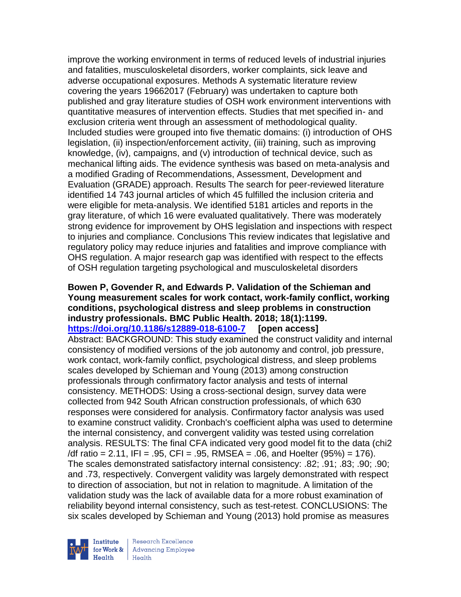improve the working environment in terms of reduced levels of industrial injuries and fatalities, musculoskeletal disorders, worker complaints, sick leave and adverse occupational exposures. Methods A systematic literature review covering the years 19662017 (February) was undertaken to capture both published and gray literature studies of OSH work environment interventions with quantitative measures of intervention effects. Studies that met specified in- and exclusion criteria went through an assessment of methodological quality. Included studies were grouped into five thematic domains: (i) introduction of OHS legislation, (ii) inspection/enforcement activity, (iii) training, such as improving knowledge, (iv), campaigns, and (v) introduction of technical device, such as mechanical lifting aids. The evidence synthesis was based on meta-analysis and a modified Grading of Recommendations, Assessment, Development and Evaluation (GRADE) approach. Results The search for peer-reviewed literature identified 14 743 journal articles of which 45 fulfilled the inclusion criteria and were eligible for meta-analysis. We identified 5181 articles and reports in the gray literature, of which 16 were evaluated qualitatively. There was moderately strong evidence for improvement by OHS legislation and inspections with respect to injuries and compliance. Conclusions This review indicates that legislative and regulatory policy may reduce injuries and fatalities and improve compliance with OHS regulation. A major research gap was identified with respect to the effects of OSH regulation targeting psychological and musculoskeletal disorders

#### **Bowen P, Govender R, and Edwards P. Validation of the Schieman and Young measurement scales for work contact, work-family conflict, working conditions, psychological distress and sleep problems in construction industry professionals. BMC Public Health. 2018; 18(1):1199. <https://doi.org/10.1186/s12889-018-6100-7> [open access]**

Abstract: BACKGROUND: This study examined the construct validity and internal consistency of modified versions of the job autonomy and control, job pressure, work contact, work-family conflict, psychological distress, and sleep problems scales developed by Schieman and Young (2013) among construction professionals through confirmatory factor analysis and tests of internal consistency. METHODS: Using a cross-sectional design, survey data were collected from 942 South African construction professionals, of which 630 responses were considered for analysis. Confirmatory factor analysis was used to examine construct validity. Cronbach's coefficient alpha was used to determine the internal consistency, and convergent validity was tested using correlation analysis. RESULTS: The final CFA indicated very good model fit to the data (chi2  $/df$  ratio = 2.11, IFI = .95, CFI = .95, RMSEA = .06, and Hoelter (95%) = 176). The scales demonstrated satisfactory internal consistency: .82; .91; .83; .90; .90; and .73, respectively. Convergent validity was largely demonstrated with respect to direction of association, but not in relation to magnitude. A limitation of the validation study was the lack of available data for a more robust examination of reliability beyond internal consistency, such as test-retest. CONCLUSIONS: The six scales developed by Schieman and Young (2013) hold promise as measures

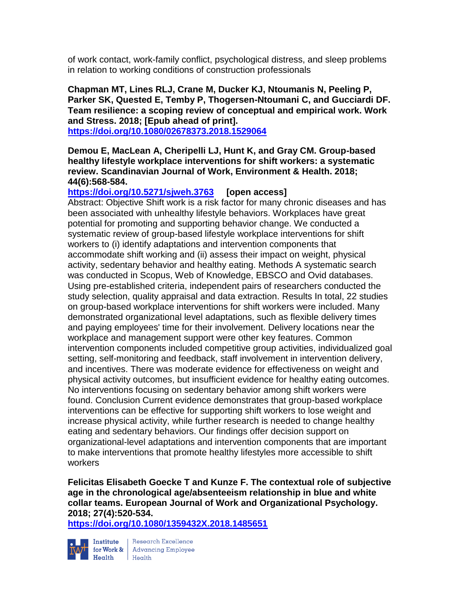of work contact, work-family conflict, psychological distress, and sleep problems in relation to working conditions of construction professionals

**Chapman MT, Lines RLJ, Crane M, Ducker KJ, Ntoumanis N, Peeling P, Parker SK, Quested E, Temby P, Thogersen-Ntoumani C, and Gucciardi DF. Team resilience: a scoping review of conceptual and empirical work. Work and Stress. 2018; [Epub ahead of print].**

**<https://doi.org/10.1080/02678373.2018.1529064>** 

**Demou E, MacLean A, Cheripelli LJ, Hunt K, and Gray CM. Group-based healthy lifestyle workplace interventions for shift workers: a systematic review. Scandinavian Journal of Work, Environment & Health. 2018; 44(6):568-584.** 

**<https://doi.org/10.5271/sjweh.3763> [open access]**

Abstract: Objective Shift work is a risk factor for many chronic diseases and has been associated with unhealthy lifestyle behaviors. Workplaces have great potential for promoting and supporting behavior change. We conducted a systematic review of group-based lifestyle workplace interventions for shift workers to (i) identify adaptations and intervention components that accommodate shift working and (ii) assess their impact on weight, physical activity, sedentary behavior and healthy eating. Methods A systematic search was conducted in Scopus, Web of Knowledge, EBSCO and Ovid databases. Using pre-established criteria, independent pairs of researchers conducted the study selection, quality appraisal and data extraction. Results In total, 22 studies on group-based workplace interventions for shift workers were included. Many demonstrated organizational level adaptations, such as flexible delivery times and paying employees' time for their involvement. Delivery locations near the workplace and management support were other key features. Common intervention components included competitive group activities, individualized goal setting, self-monitoring and feedback, staff involvement in intervention delivery, and incentives. There was moderate evidence for effectiveness on weight and physical activity outcomes, but insufficient evidence for healthy eating outcomes. No interventions focusing on sedentary behavior among shift workers were found. Conclusion Current evidence demonstrates that group-based workplace interventions can be effective for supporting shift workers to lose weight and increase physical activity, while further research is needed to change healthy eating and sedentary behaviors. Our findings offer decision support on organizational-level adaptations and intervention components that are important to make interventions that promote healthy lifestyles more accessible to shift workers

**Felicitas Elisabeth Goecke T and Kunze F. The contextual role of subjective age in the chronological age/absenteeism relationship in blue and white collar teams. European Journal of Work and Organizational Psychology. 2018; 27(4):520-534.** 

**<https://doi.org/10.1080/1359432X.2018.1485651>** 



Institute Research Excellence<br>
for Work & Advancing Employee<br>
Health Health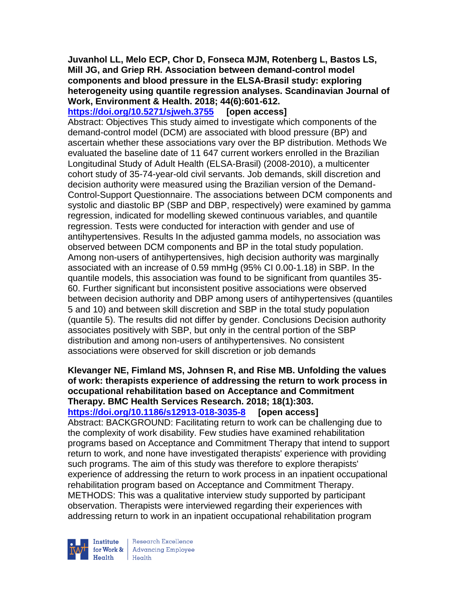**Juvanhol LL, Melo ECP, Chor D, Fonseca MJM, Rotenberg L, Bastos LS, Mill JG, and Griep RH. Association between demand-control model components and blood pressure in the ELSA-Brasil study: exploring heterogeneity using quantile regression analyses. Scandinavian Journal of Work, Environment & Health. 2018; 44(6):601-612.** 

**<https://doi.org/10.5271/sjweh.3755> [open access]** Abstract: Objectives This study aimed to investigate which components of the demand-control model (DCM) are associated with blood pressure (BP) and ascertain whether these associations vary over the BP distribution. Methods We evaluated the baseline date of 11 647 current workers enrolled in the Brazilian Longitudinal Study of Adult Health (ELSA-Brasil) (2008-2010), a multicenter cohort study of 35-74-year-old civil servants. Job demands, skill discretion and decision authority were measured using the Brazilian version of the Demand-Control-Support Questionnaire. The associations between DCM components and systolic and diastolic BP (SBP and DBP, respectively) were examined by gamma regression, indicated for modelling skewed continuous variables, and quantile regression. Tests were conducted for interaction with gender and use of antihypertensives. Results In the adjusted gamma models, no association was observed between DCM components and BP in the total study population. Among non-users of antihypertensives, high decision authority was marginally associated with an increase of 0.59 mmHg (95% CI 0.00-1.18) in SBP. In the quantile models, this association was found to be significant from quantiles 35- 60. Further significant but inconsistent positive associations were observed between decision authority and DBP among users of antihypertensives (quantiles 5 and 10) and between skill discretion and SBP in the total study population (quantile 5). The results did not differ by gender. Conclusions Decision authority associates positively with SBP, but only in the central portion of the SBP distribution and among non-users of antihypertensives. No consistent associations were observed for skill discretion or job demands

**Klevanger NE, Fimland MS, Johnsen R, and Rise MB. Unfolding the values of work: therapists experience of addressing the return to work process in occupational rehabilitation based on Acceptance and Commitment Therapy. BMC Health Services Research. 2018; 18(1):303. <https://doi.org/10.1186/s12913-018-3035-8> [open access]** Abstract: BACKGROUND: Facilitating return to work can be challenging due to the complexity of work disability. Few studies have examined rehabilitation programs based on Acceptance and Commitment Therapy that intend to support return to work, and none have investigated therapists' experience with providing such programs. The aim of this study was therefore to explore therapists' experience of addressing the return to work process in an inpatient occupational rehabilitation program based on Acceptance and Commitment Therapy. METHODS: This was a qualitative interview study supported by participant observation. Therapists were interviewed regarding their experiences with addressing return to work in an inpatient occupational rehabilitation program



**Institute** Research Excellence<br> **for Work &** Advancing Employee<br> **Health** Health  $H_{\text{eath}}$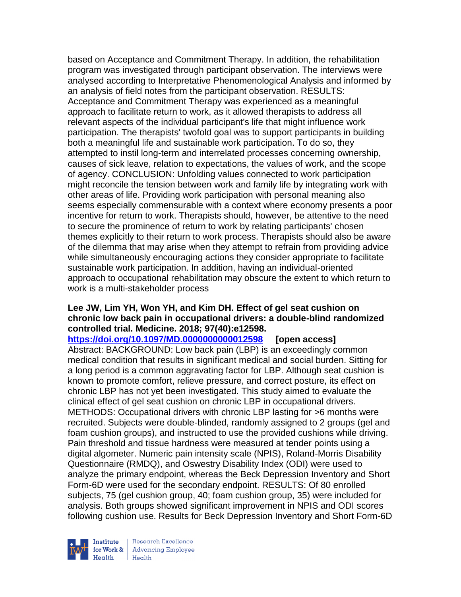based on Acceptance and Commitment Therapy. In addition, the rehabilitation program was investigated through participant observation. The interviews were analysed according to Interpretative Phenomenological Analysis and informed by an analysis of field notes from the participant observation. RESULTS: Acceptance and Commitment Therapy was experienced as a meaningful approach to facilitate return to work, as it allowed therapists to address all relevant aspects of the individual participant's life that might influence work participation. The therapists' twofold goal was to support participants in building both a meaningful life and sustainable work participation. To do so, they attempted to instil long-term and interrelated processes concerning ownership, causes of sick leave, relation to expectations, the values of work, and the scope of agency. CONCLUSION: Unfolding values connected to work participation might reconcile the tension between work and family life by integrating work with other areas of life. Providing work participation with personal meaning also seems especially commensurable with a context where economy presents a poor incentive for return to work. Therapists should, however, be attentive to the need to secure the prominence of return to work by relating participants' chosen themes explicitly to their return to work process. Therapists should also be aware of the dilemma that may arise when they attempt to refrain from providing advice while simultaneously encouraging actions they consider appropriate to facilitate sustainable work participation. In addition, having an individual-oriented approach to occupational rehabilitation may obscure the extent to which return to work is a multi-stakeholder process

# **Lee JW, Lim YH, Won YH, and Kim DH. Effect of gel seat cushion on chronic low back pain in occupational drivers: a double-blind randomized controlled trial. Medicine. 2018; 97(40):e12598.**

**<https://doi.org/10.1097/MD.0000000000012598> [open access]** Abstract: BACKGROUND: Low back pain (LBP) is an exceedingly common medical condition that results in significant medical and social burden. Sitting for a long period is a common aggravating factor for LBP. Although seat cushion is known to promote comfort, relieve pressure, and correct posture, its effect on chronic LBP has not yet been investigated. This study aimed to evaluate the clinical effect of gel seat cushion on chronic LBP in occupational drivers. METHODS: Occupational drivers with chronic LBP lasting for >6 months were recruited. Subjects were double-blinded, randomly assigned to 2 groups (gel and foam cushion groups), and instructed to use the provided cushions while driving. Pain threshold and tissue hardness were measured at tender points using a digital algometer. Numeric pain intensity scale (NPIS), Roland-Morris Disability Questionnaire (RMDQ), and Oswestry Disability Index (ODI) were used to analyze the primary endpoint, whereas the Beck Depression Inventory and Short Form-6D were used for the secondary endpoint. RESULTS: Of 80 enrolled subjects, 75 (gel cushion group, 40; foam cushion group, 35) were included for analysis. Both groups showed significant improvement in NPIS and ODI scores following cushion use. Results for Beck Depression Inventory and Short Form-6D



Research Excellence for Work & | Advancing Employee Health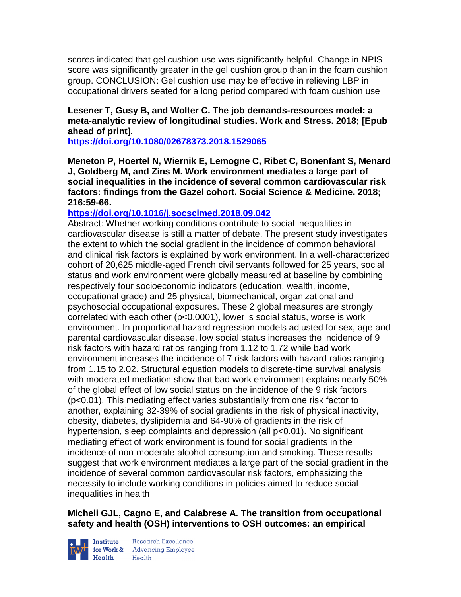scores indicated that gel cushion use was significantly helpful. Change in NPIS score was significantly greater in the gel cushion group than in the foam cushion group. CONCLUSION: Gel cushion use may be effective in relieving LBP in occupational drivers seated for a long period compared with foam cushion use

# **Lesener T, Gusy B, and Wolter C. The job demands-resources model: a meta-analytic review of longitudinal studies. Work and Stress. 2018; [Epub ahead of print].**

**<https://doi.org/10.1080/02678373.2018.1529065>** 

**Meneton P, Hoertel N, Wiernik E, Lemogne C, Ribet C, Bonenfant S, Menard J, Goldberg M, and Zins M. Work environment mediates a large part of social inequalities in the incidence of several common cardiovascular risk factors: findings from the Gazel cohort. Social Science & Medicine. 2018; 216:59-66.** 

# **<https://doi.org/10.1016/j.socscimed.2018.09.042>**

Abstract: Whether working conditions contribute to social inequalities in cardiovascular disease is still a matter of debate. The present study investigates the extent to which the social gradient in the incidence of common behavioral and clinical risk factors is explained by work environment. In a well-characterized cohort of 20,625 middle-aged French civil servants followed for 25 years, social status and work environment were globally measured at baseline by combining respectively four socioeconomic indicators (education, wealth, income, occupational grade) and 25 physical, biomechanical, organizational and psychosocial occupational exposures. These 2 global measures are strongly correlated with each other (p<0.0001), lower is social status, worse is work environment. In proportional hazard regression models adjusted for sex, age and parental cardiovascular disease, low social status increases the incidence of 9 risk factors with hazard ratios ranging from 1.12 to 1.72 while bad work environment increases the incidence of 7 risk factors with hazard ratios ranging from 1.15 to 2.02. Structural equation models to discrete-time survival analysis with moderated mediation show that bad work environment explains nearly 50% of the global effect of low social status on the incidence of the 9 risk factors (p<0.01). This mediating effect varies substantially from one risk factor to another, explaining 32-39% of social gradients in the risk of physical inactivity, obesity, diabetes, dyslipidemia and 64-90% of gradients in the risk of hypertension, sleep complaints and depression (all  $p<0.01$ ). No significant mediating effect of work environment is found for social gradients in the incidence of non-moderate alcohol consumption and smoking. These results suggest that work environment mediates a large part of the social gradient in the incidence of several common cardiovascular risk factors, emphasizing the necessity to include working conditions in policies aimed to reduce social inequalities in health

## **Micheli GJL, Cagno E, and Calabrese A. The transition from occupational safety and health (OSH) interventions to OSH outcomes: an empirical**



**Institute** Research Excellence<br> **for Work &** Advancing Employee<br> **Health** Health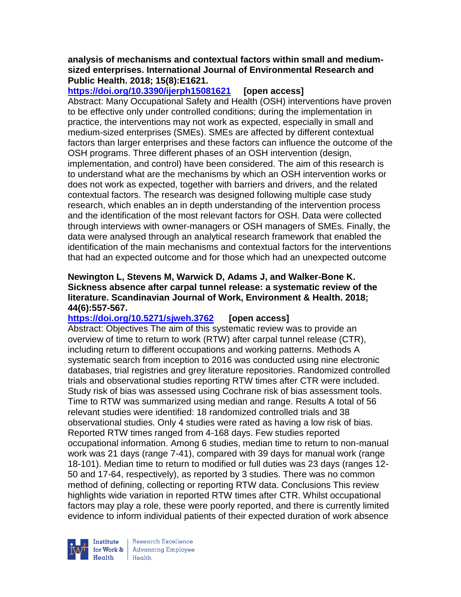### **analysis of mechanisms and contextual factors within small and mediumsized enterprises. International Journal of Environmental Research and Public Health. 2018; 15(8):E1621.**

**<https://doi.org/10.3390/ijerph15081621> [open access]**

Abstract: Many Occupational Safety and Health (OSH) interventions have proven to be effective only under controlled conditions; during the implementation in practice, the interventions may not work as expected, especially in small and medium-sized enterprises (SMEs). SMEs are affected by different contextual factors than larger enterprises and these factors can influence the outcome of the OSH programs. Three different phases of an OSH intervention (design, implementation, and control) have been considered. The aim of this research is to understand what are the mechanisms by which an OSH intervention works or does not work as expected, together with barriers and drivers, and the related contextual factors. The research was designed following multiple case study research, which enables an in depth understanding of the intervention process and the identification of the most relevant factors for OSH. Data were collected through interviews with owner-managers or OSH managers of SMEs. Finally, the data were analysed through an analytical research framework that enabled the identification of the main mechanisms and contextual factors for the interventions that had an expected outcome and for those which had an unexpected outcome

## **Newington L, Stevens M, Warwick D, Adams J, and Walker-Bone K. Sickness absence after carpal tunnel release: a systematic review of the literature. Scandinavian Journal of Work, Environment & Health. 2018; 44(6):557-567.**

# **<https://doi.org/10.5271/sjweh.3762> [open access]**

Abstract: Objectives The aim of this systematic review was to provide an overview of time to return to work (RTW) after carpal tunnel release (CTR), including return to different occupations and working patterns. Methods A systematic search from inception to 2016 was conducted using nine electronic databases, trial registries and grey literature repositories. Randomized controlled trials and observational studies reporting RTW times after CTR were included. Study risk of bias was assessed using Cochrane risk of bias assessment tools. Time to RTW was summarized using median and range. Results A total of 56 relevant studies were identified: 18 randomized controlled trials and 38 observational studies. Only 4 studies were rated as having a low risk of bias. Reported RTW times ranged from 4-168 days. Few studies reported occupational information. Among 6 studies, median time to return to non-manual work was 21 days (range 7-41), compared with 39 days for manual work (range 18-101). Median time to return to modified or full duties was 23 days (ranges 12- 50 and 17-64, respectively), as reported by 3 studies. There was no common method of defining, collecting or reporting RTW data. Conclusions This review highlights wide variation in reported RTW times after CTR. Whilst occupational factors may play a role, these were poorly reported, and there is currently limited evidence to inform individual patients of their expected duration of work absence



Research Excellence for Work & | Advancing Employee Health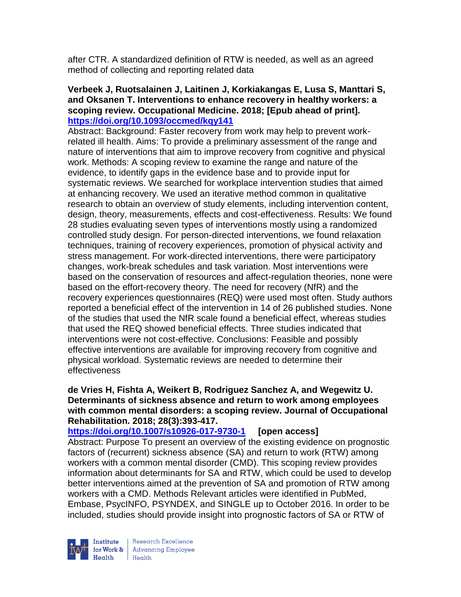after CTR. A standardized definition of RTW is needed, as well as an agreed method of collecting and reporting related data

### **Verbeek J, Ruotsalainen J, Laitinen J, Korkiakangas E, Lusa S, Manttari S, and Oksanen T. Interventions to enhance recovery in healthy workers: a scoping review. Occupational Medicine. 2018; [Epub ahead of print]. <https://doi.org/10.1093/occmed/kqy141>**

Abstract: Background: Faster recovery from work may help to prevent workrelated ill health. Aims: To provide a preliminary assessment of the range and nature of interventions that aim to improve recovery from cognitive and physical work. Methods: A scoping review to examine the range and nature of the evidence, to identify gaps in the evidence base and to provide input for systematic reviews. We searched for workplace intervention studies that aimed at enhancing recovery. We used an iterative method common in qualitative research to obtain an overview of study elements, including intervention content, design, theory, measurements, effects and cost-effectiveness. Results: We found 28 studies evaluating seven types of interventions mostly using a randomized controlled study design. For person-directed interventions, we found relaxation techniques, training of recovery experiences, promotion of physical activity and stress management. For work-directed interventions, there were participatory changes, work-break schedules and task variation. Most interventions were based on the conservation of resources and affect-regulation theories, none were based on the effort-recovery theory. The need for recovery (NfR) and the recovery experiences questionnaires (REQ) were used most often. Study authors reported a beneficial effect of the intervention in 14 of 26 published studies. None of the studies that used the NfR scale found a beneficial effect, whereas studies that used the REQ showed beneficial effects. Three studies indicated that interventions were not cost-effective. Conclusions: Feasible and possibly effective interventions are available for improving recovery from cognitive and physical workload. Systematic reviews are needed to determine their effectiveness

## **de Vries H, Fishta A, Weikert B, Rodriguez Sanchez A, and Wegewitz U. Determinants of sickness absence and return to work among employees with common mental disorders: a scoping review. Journal of Occupational Rehabilitation. 2018; 28(3):393-417.**

**<https://doi.org/10.1007/s10926-017-9730-1> [open access]**

Abstract: Purpose To present an overview of the existing evidence on prognostic factors of (recurrent) sickness absence (SA) and return to work (RTW) among workers with a common mental disorder (CMD). This scoping review provides information about determinants for SA and RTW, which could be used to develop better interventions aimed at the prevention of SA and promotion of RTW among workers with a CMD. Methods Relevant articles were identified in PubMed, Embase, PsycINFO, PSYNDEX, and SINGLE up to October 2016. In order to be included, studies should provide insight into prognostic factors of SA or RTW of



Research Excellence **Example 3** Advancing Employee  $H_{\text{eath}}$